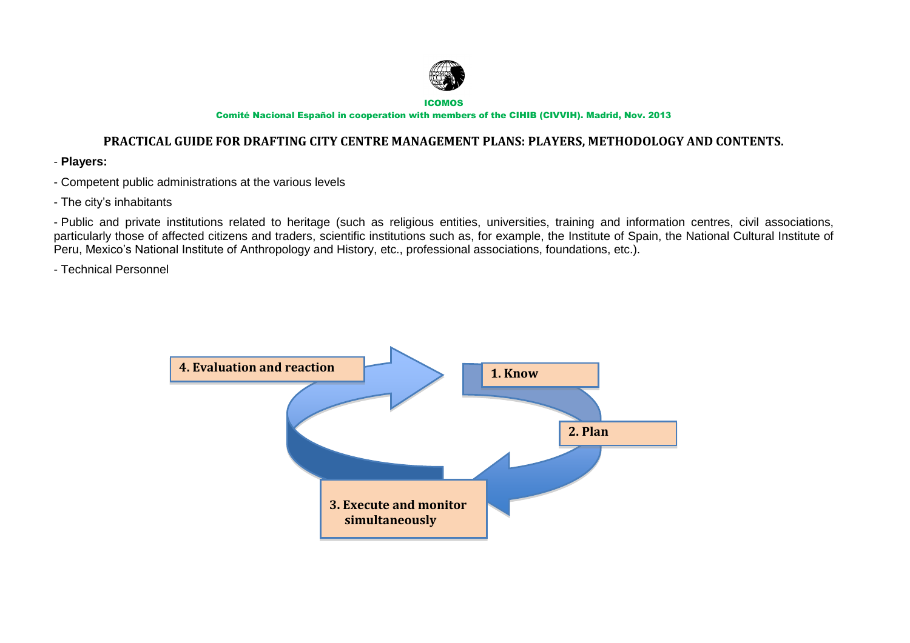

ICOMOS

Comité Nacional Español in cooperation with members of the CIHIB (CIVVIH). Madrid, Nov. 2013

## **PRACTICAL GUIDE FOR DRAFTING CITY CENTRE MANAGEMENT PLANS: PLAYERS, METHODOLOGY AND CONTENTS.**

- **Players:**
- Competent public administrations at the various levels
- The city's inhabitants

- Public and private institutions related to heritage (such as religious entities, universities, training and information centres, civil associations, particularly those of affected citizens and traders, scientific institutions such as, for example, the Institute of Spain, the National Cultural Institute of Peru, Mexico's National Institute of Anthropology and History, etc., professional associations, foundations, etc.).

- Technical Personnel

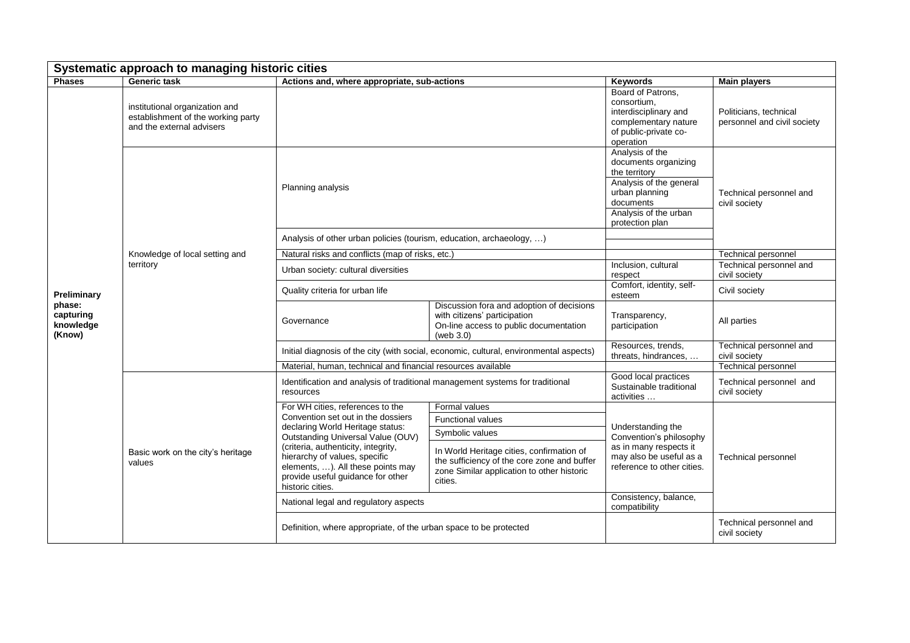| Systematic approach to managing historic cities           |                                                                                                   |                                                                                                                                                                                                                                                                                                                       |                                                                                                                                                   |                                                                                                                                                                |                                                       |  |  |  |
|-----------------------------------------------------------|---------------------------------------------------------------------------------------------------|-----------------------------------------------------------------------------------------------------------------------------------------------------------------------------------------------------------------------------------------------------------------------------------------------------------------------|---------------------------------------------------------------------------------------------------------------------------------------------------|----------------------------------------------------------------------------------------------------------------------------------------------------------------|-------------------------------------------------------|--|--|--|
| <b>Phases</b>                                             | <b>Generic task</b>                                                                               | Actions and, where appropriate, sub-actions                                                                                                                                                                                                                                                                           |                                                                                                                                                   | <b>Keywords</b>                                                                                                                                                | <b>Main players</b>                                   |  |  |  |
| Preliminary<br>phase:<br>capturing<br>knowledge<br>(Know) | institutional organization and<br>establishment of the working party<br>and the external advisers |                                                                                                                                                                                                                                                                                                                       |                                                                                                                                                   | Board of Patrons,<br>consortium,<br>interdisciplinary and<br>complementary nature<br>of public-private co-<br>operation                                        | Politicians, technical<br>personnel and civil society |  |  |  |
|                                                           |                                                                                                   | Planning analysis                                                                                                                                                                                                                                                                                                     |                                                                                                                                                   | Analysis of the<br>documents organizing<br>the territory<br>Analysis of the general<br>urban planning<br>documents<br>Analysis of the urban<br>protection plan | Technical personnel and<br>civil society              |  |  |  |
|                                                           | Knowledge of local setting and<br>territory                                                       | Analysis of other urban policies (tourism, education, archaeology, )                                                                                                                                                                                                                                                  |                                                                                                                                                   |                                                                                                                                                                |                                                       |  |  |  |
|                                                           |                                                                                                   | Natural risks and conflicts (map of risks, etc.)                                                                                                                                                                                                                                                                      |                                                                                                                                                   |                                                                                                                                                                | <b>Technical personnel</b>                            |  |  |  |
|                                                           |                                                                                                   | Urban society: cultural diversities                                                                                                                                                                                                                                                                                   |                                                                                                                                                   | Inclusion, cultural<br>respect                                                                                                                                 | Technical personnel and<br>civil society              |  |  |  |
|                                                           |                                                                                                   | Quality criteria for urban life                                                                                                                                                                                                                                                                                       |                                                                                                                                                   | Comfort, identity, self-<br>esteem                                                                                                                             | Civil society                                         |  |  |  |
|                                                           |                                                                                                   | Governance                                                                                                                                                                                                                                                                                                            | Discussion fora and adoption of decisions<br>with citizens' participation<br>On-line access to public documentation<br>(web 3.0)                  | Transparency,<br>participation                                                                                                                                 | All parties                                           |  |  |  |
|                                                           |                                                                                                   | Initial diagnosis of the city (with social, economic, cultural, environmental aspects)                                                                                                                                                                                                                                |                                                                                                                                                   | Resources, trends,<br>threats, hindrances,                                                                                                                     | Technical personnel and<br>civil society              |  |  |  |
|                                                           |                                                                                                   | Material, human, technical and financial resources available                                                                                                                                                                                                                                                          |                                                                                                                                                   |                                                                                                                                                                | Technical personnel                                   |  |  |  |
|                                                           | Basic work on the city's heritage<br>values                                                       | Identification and analysis of traditional management systems for traditional<br>resources                                                                                                                                                                                                                            |                                                                                                                                                   | Good local practices<br>Sustainable traditional<br>activities                                                                                                  | Technical personnel and<br>civil society              |  |  |  |
|                                                           |                                                                                                   | For WH cities, references to the<br>Convention set out in the dossiers<br>declaring World Heritage status:<br>Outstanding Universal Value (OUV)<br>(criteria, authenticity, integrity,<br>hierarchy of values, specific<br>elements, ). All these points may<br>provide useful guidance for other<br>historic cities. | Formal values                                                                                                                                     | Understanding the<br>Convention's philosophy<br>as in many respects it<br>may also be useful as a<br>reference to other cities.                                | <b>Technical personnel</b>                            |  |  |  |
|                                                           |                                                                                                   |                                                                                                                                                                                                                                                                                                                       | <b>Functional values</b>                                                                                                                          |                                                                                                                                                                |                                                       |  |  |  |
|                                                           |                                                                                                   |                                                                                                                                                                                                                                                                                                                       | Symbolic values                                                                                                                                   |                                                                                                                                                                |                                                       |  |  |  |
|                                                           |                                                                                                   |                                                                                                                                                                                                                                                                                                                       | In World Heritage cities, confirmation of<br>the sufficiency of the core zone and buffer<br>zone Similar application to other historic<br>cities. |                                                                                                                                                                |                                                       |  |  |  |
|                                                           |                                                                                                   | National legal and regulatory aspects                                                                                                                                                                                                                                                                                 |                                                                                                                                                   | Consistency, balance,<br>compatibility                                                                                                                         |                                                       |  |  |  |
|                                                           |                                                                                                   | Definition, where appropriate, of the urban space to be protected                                                                                                                                                                                                                                                     |                                                                                                                                                   |                                                                                                                                                                | Technical personnel and<br>civil society              |  |  |  |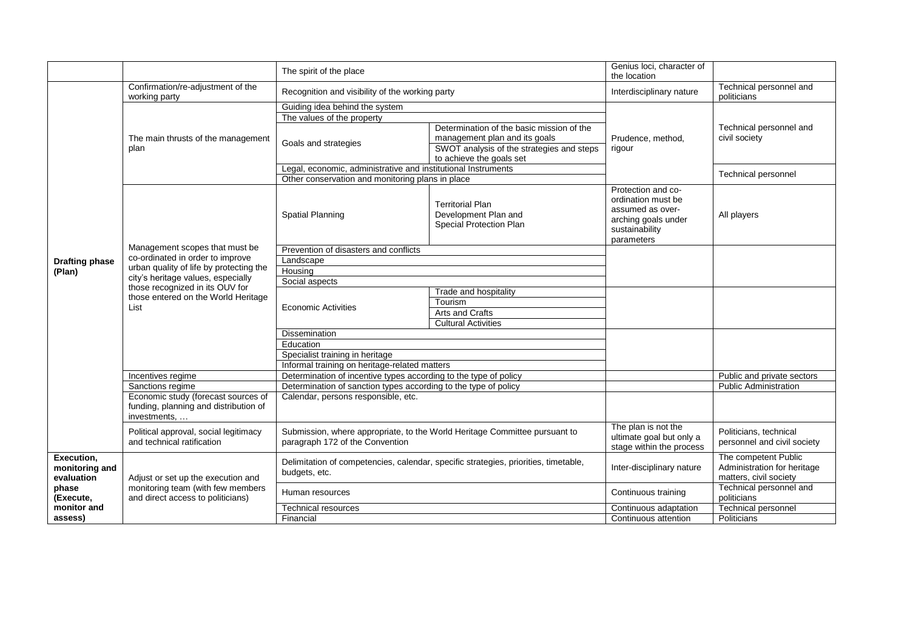|                                                                                 |                                                                                                                                                                                                                                       | The spirit of the place                                                                                       |                                                                            | Genius loci, character of<br>the location                                                                           |                                                                               |
|---------------------------------------------------------------------------------|---------------------------------------------------------------------------------------------------------------------------------------------------------------------------------------------------------------------------------------|---------------------------------------------------------------------------------------------------------------|----------------------------------------------------------------------------|---------------------------------------------------------------------------------------------------------------------|-------------------------------------------------------------------------------|
|                                                                                 | Confirmation/re-adjustment of the<br>working party                                                                                                                                                                                    | Recognition and visibility of the working party                                                               |                                                                            | Interdisciplinary nature                                                                                            | Technical personnel and<br>politicians                                        |
|                                                                                 |                                                                                                                                                                                                                                       | Guiding idea behind the system                                                                                |                                                                            |                                                                                                                     |                                                                               |
|                                                                                 |                                                                                                                                                                                                                                       | The values of the property                                                                                    |                                                                            |                                                                                                                     |                                                                               |
|                                                                                 |                                                                                                                                                                                                                                       |                                                                                                               | Determination of the basic mission of the                                  | Prudence, method,<br>rigour                                                                                         | Technical personnel and                                                       |
|                                                                                 | The main thrusts of the management<br>plan                                                                                                                                                                                            | Goals and strategies                                                                                          | management plan and its goals                                              |                                                                                                                     | civil society                                                                 |
|                                                                                 |                                                                                                                                                                                                                                       |                                                                                                               | SWOT analysis of the strategies and steps                                  |                                                                                                                     |                                                                               |
|                                                                                 |                                                                                                                                                                                                                                       |                                                                                                               | to achieve the goals set                                                   |                                                                                                                     |                                                                               |
|                                                                                 |                                                                                                                                                                                                                                       | Legal, economic, administrative and institutional Instruments                                                 |                                                                            |                                                                                                                     | <b>Technical personnel</b>                                                    |
|                                                                                 |                                                                                                                                                                                                                                       | Other conservation and monitoring plans in place                                                              |                                                                            |                                                                                                                     |                                                                               |
|                                                                                 | Management scopes that must be<br>co-ordinated in order to improve<br>urban quality of life by protecting the<br>city's heritage values, especially<br>those recognized in its OUV for<br>those entered on the World Heritage<br>List | <b>Spatial Planning</b>                                                                                       | <b>Territorial Plan</b><br>Development Plan and<br>Special Protection Plan | Protection and co-<br>ordination must be<br>assumed as over-<br>arching goals under<br>sustainability<br>parameters | All players                                                                   |
|                                                                                 |                                                                                                                                                                                                                                       | Prevention of disasters and conflicts                                                                         |                                                                            |                                                                                                                     |                                                                               |
| <b>Drafting phase</b>                                                           |                                                                                                                                                                                                                                       | Landscape                                                                                                     |                                                                            |                                                                                                                     |                                                                               |
| (Plan)                                                                          |                                                                                                                                                                                                                                       | Housing                                                                                                       |                                                                            |                                                                                                                     |                                                                               |
|                                                                                 |                                                                                                                                                                                                                                       | Social aspects                                                                                                |                                                                            |                                                                                                                     |                                                                               |
|                                                                                 |                                                                                                                                                                                                                                       | <b>Economic Activities</b>                                                                                    | Trade and hospitality                                                      |                                                                                                                     |                                                                               |
|                                                                                 |                                                                                                                                                                                                                                       |                                                                                                               | Tourism                                                                    |                                                                                                                     |                                                                               |
|                                                                                 |                                                                                                                                                                                                                                       |                                                                                                               | Arts and Crafts                                                            |                                                                                                                     |                                                                               |
|                                                                                 |                                                                                                                                                                                                                                       |                                                                                                               | <b>Cultural Activities</b>                                                 |                                                                                                                     |                                                                               |
|                                                                                 |                                                                                                                                                                                                                                       | Dissemination                                                                                                 |                                                                            |                                                                                                                     |                                                                               |
|                                                                                 |                                                                                                                                                                                                                                       | Education                                                                                                     |                                                                            |                                                                                                                     |                                                                               |
|                                                                                 |                                                                                                                                                                                                                                       | Specialist training in heritage                                                                               |                                                                            |                                                                                                                     |                                                                               |
|                                                                                 |                                                                                                                                                                                                                                       | Informal training on heritage-related matters                                                                 |                                                                            |                                                                                                                     |                                                                               |
|                                                                                 | Incentives regime                                                                                                                                                                                                                     | Determination of incentive types according to the type of policy                                              |                                                                            |                                                                                                                     | Public and private sectors                                                    |
|                                                                                 | Sanctions regime                                                                                                                                                                                                                      | Determination of sanction types according to the type of policy                                               |                                                                            |                                                                                                                     | <b>Public Administration</b>                                                  |
|                                                                                 | Economic study (forecast sources of<br>funding, planning and distribution of<br>investments,                                                                                                                                          | Calendar, persons responsible, etc.                                                                           |                                                                            |                                                                                                                     |                                                                               |
|                                                                                 | Political approval, social legitimacy<br>and technical ratification                                                                                                                                                                   | Submission, where appropriate, to the World Heritage Committee pursuant to<br>paragraph 172 of the Convention |                                                                            | The plan is not the<br>ultimate goal but only a<br>stage within the process                                         | Politicians, technical<br>personnel and civil society                         |
| Execution,<br>monitoring and<br>evaluation<br>phase<br>(Execute,<br>monitor and | Adjust or set up the execution and<br>monitoring team (with few members<br>and direct access to politicians)                                                                                                                          | Delimitation of competencies, calendar, specific strategies, priorities, timetable,<br>budgets, etc.          |                                                                            | Inter-disciplinary nature                                                                                           | The competent Public<br>Administration for heritage<br>matters, civil society |
|                                                                                 |                                                                                                                                                                                                                                       | Human resources                                                                                               |                                                                            | Continuous training                                                                                                 | Technical personnel and<br>politicians                                        |
|                                                                                 |                                                                                                                                                                                                                                       | Technical resources                                                                                           |                                                                            | Continuous adaptation                                                                                               | <b>Technical personnel</b>                                                    |
| assess)                                                                         |                                                                                                                                                                                                                                       | Financial                                                                                                     |                                                                            | Continuous attention                                                                                                | Politicians                                                                   |